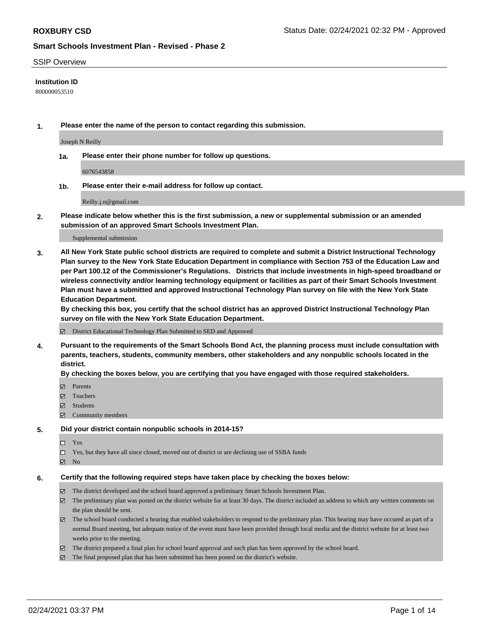### SSIP Overview

### **Institution ID**

800000053510

**1. Please enter the name of the person to contact regarding this submission.**

Joseph N Reilly

**1a. Please enter their phone number for follow up questions.**

6076543858

**1b. Please enter their e-mail address for follow up contact.**

Reilly.j.n@gmail.com

**2. Please indicate below whether this is the first submission, a new or supplemental submission or an amended submission of an approved Smart Schools Investment Plan.**

#### Supplemental submission

**3. All New York State public school districts are required to complete and submit a District Instructional Technology Plan survey to the New York State Education Department in compliance with Section 753 of the Education Law and per Part 100.12 of the Commissioner's Regulations. Districts that include investments in high-speed broadband or wireless connectivity and/or learning technology equipment or facilities as part of their Smart Schools Investment Plan must have a submitted and approved Instructional Technology Plan survey on file with the New York State Education Department.** 

**By checking this box, you certify that the school district has an approved District Instructional Technology Plan survey on file with the New York State Education Department.**

District Educational Technology Plan Submitted to SED and Approved

**4. Pursuant to the requirements of the Smart Schools Bond Act, the planning process must include consultation with parents, teachers, students, community members, other stakeholders and any nonpublic schools located in the district.** 

#### **By checking the boxes below, you are certifying that you have engaged with those required stakeholders.**

- **Ø** Parents
- Teachers
- Students
- Community members

### **5. Did your district contain nonpublic schools in 2014-15?**

- □ Yes
- □ Yes, but they have all since closed, moved out of district or are declining use of SSBA funds
- **Ø** No

## **6. Certify that the following required steps have taken place by checking the boxes below:**

- The district developed and the school board approved a preliminary Smart Schools Investment Plan.
- The preliminary plan was posted on the district website for at least 30 days. The district included an address to which any written comments on the plan should be sent.
- The school board conducted a hearing that enabled stakeholders to respond to the preliminary plan. This hearing may have occured as part of a normal Board meeting, but adequate notice of the event must have been provided through local media and the district website for at least two weeks prior to the meeting.
- The district prepared a final plan for school board approval and such plan has been approved by the school board.
- $\boxtimes$  The final proposed plan that has been submitted has been posted on the district's website.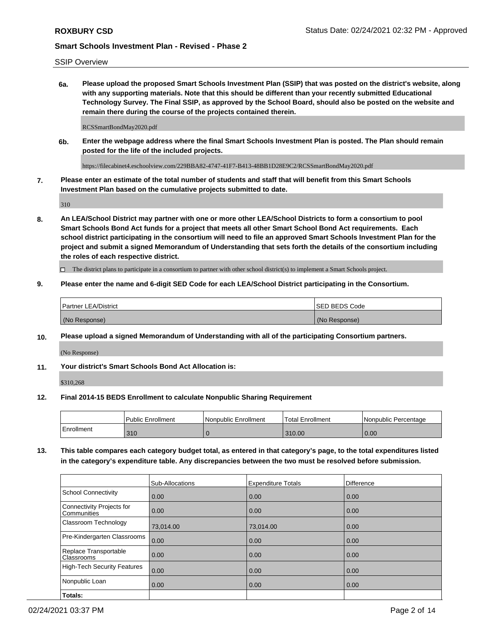SSIP Overview

**6a. Please upload the proposed Smart Schools Investment Plan (SSIP) that was posted on the district's website, along with any supporting materials. Note that this should be different than your recently submitted Educational Technology Survey. The Final SSIP, as approved by the School Board, should also be posted on the website and remain there during the course of the projects contained therein.**

RCSSmartBondMay2020.pdf

**6b. Enter the webpage address where the final Smart Schools Investment Plan is posted. The Plan should remain posted for the life of the included projects.**

https://filecabinet4.eschoolview.com/229BBA82-4747-41F7-B413-48BB1D28E9C2/RCSSmartBondMay2020.pdf

**7. Please enter an estimate of the total number of students and staff that will benefit from this Smart Schools Investment Plan based on the cumulative projects submitted to date.**

310

**8. An LEA/School District may partner with one or more other LEA/School Districts to form a consortium to pool Smart Schools Bond Act funds for a project that meets all other Smart School Bond Act requirements. Each school district participating in the consortium will need to file an approved Smart Schools Investment Plan for the project and submit a signed Memorandum of Understanding that sets forth the details of the consortium including the roles of each respective district.**

 $\Box$  The district plans to participate in a consortium to partner with other school district(s) to implement a Smart Schools project.

### **9. Please enter the name and 6-digit SED Code for each LEA/School District participating in the Consortium.**

| Partner LEA/District | <b>ISED BEDS Code</b> |
|----------------------|-----------------------|
| (No Response)        | (No Response)         |

### **10. Please upload a signed Memorandum of Understanding with all of the participating Consortium partners.**

(No Response)

**11. Your district's Smart Schools Bond Act Allocation is:**

\$310,268

#### **12. Final 2014-15 BEDS Enrollment to calculate Nonpublic Sharing Requirement**

|            | <b>Public Enrollment</b> | Nonpublic Enrollment | <b>Total Enrollment</b> | l Nonpublic Percentage |
|------------|--------------------------|----------------------|-------------------------|------------------------|
| Enrollment | 310                      |                      | 310.00                  | 0.00                   |

**13. This table compares each category budget total, as entered in that category's page, to the total expenditures listed in the category's expenditure table. Any discrepancies between the two must be resolved before submission.**

|                                          | Sub-Allocations | <b>Expenditure Totals</b> | Difference |
|------------------------------------------|-----------------|---------------------------|------------|
| <b>School Connectivity</b>               | 0.00            | 0.00                      | 0.00       |
| Connectivity Projects for<br>Communities | 0.00            | 0.00                      | 0.00       |
| Classroom Technology                     | 73,014.00       | 73,014.00                 | 0.00       |
| Pre-Kindergarten Classrooms              | 0.00            | 0.00                      | 0.00       |
| Replace Transportable<br>Classrooms      | 0.00            | 0.00                      | 0.00       |
| <b>High-Tech Security Features</b>       | 0.00            | 0.00                      | 0.00       |
| Nonpublic Loan                           | 0.00            | 0.00                      | 0.00       |
| Totals:                                  |                 |                           |            |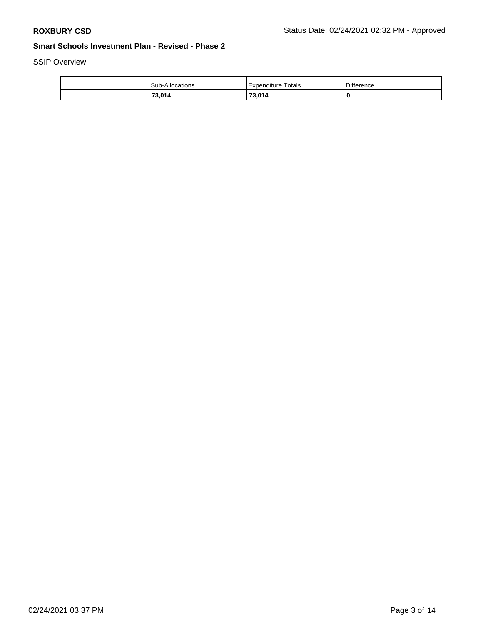SSIP Overview

| <b>Sub-Allocations</b> | Totals<br>l Expenditure | <b>Difference</b> |
|------------------------|-------------------------|-------------------|
| 73,014                 | 73.014                  | 0                 |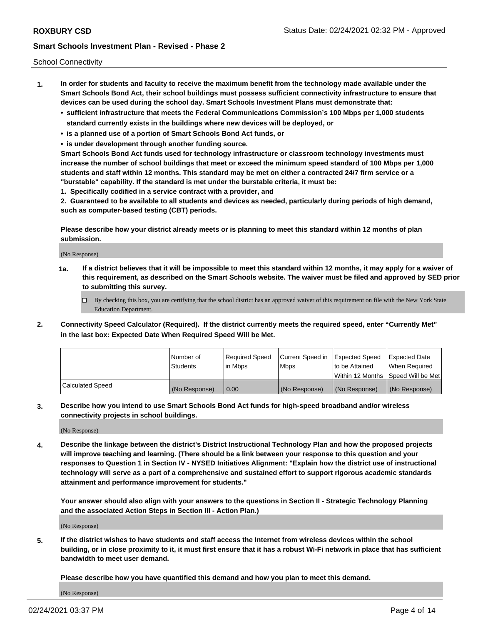School Connectivity

- **1. In order for students and faculty to receive the maximum benefit from the technology made available under the Smart Schools Bond Act, their school buildings must possess sufficient connectivity infrastructure to ensure that devices can be used during the school day. Smart Schools Investment Plans must demonstrate that:**
	- **• sufficient infrastructure that meets the Federal Communications Commission's 100 Mbps per 1,000 students standard currently exists in the buildings where new devices will be deployed, or**
	- **• is a planned use of a portion of Smart Schools Bond Act funds, or**
	- **• is under development through another funding source.**

**Smart Schools Bond Act funds used for technology infrastructure or classroom technology investments must increase the number of school buildings that meet or exceed the minimum speed standard of 100 Mbps per 1,000 students and staff within 12 months. This standard may be met on either a contracted 24/7 firm service or a "burstable" capability. If the standard is met under the burstable criteria, it must be:**

**1. Specifically codified in a service contract with a provider, and**

**2. Guaranteed to be available to all students and devices as needed, particularly during periods of high demand, such as computer-based testing (CBT) periods.**

**Please describe how your district already meets or is planning to meet this standard within 12 months of plan submission.**

(No Response)

**1a. If a district believes that it will be impossible to meet this standard within 12 months, it may apply for a waiver of this requirement, as described on the Smart Schools website. The waiver must be filed and approved by SED prior to submitting this survey.**

 $\Box$  By checking this box, you are certifying that the school district has an approved waiver of this requirement on file with the New York State Education Department.

**2. Connectivity Speed Calculator (Required). If the district currently meets the required speed, enter "Currently Met" in the last box: Expected Date When Required Speed Will be Met.**

|                  | l Number of     | Required Speed | Current Speed in | Expected Speed  | Expected Date                           |
|------------------|-----------------|----------------|------------------|-----------------|-----------------------------------------|
|                  | <b>Students</b> | In Mbps        | l Mbps           | to be Attained  | When Required                           |
|                  |                 |                |                  |                 | l Within 12 Months ISpeed Will be Met l |
| Calculated Speed | (No Response)   | 0.00           | (No Response)    | l (No Response) | l (No Response)                         |

**3. Describe how you intend to use Smart Schools Bond Act funds for high-speed broadband and/or wireless connectivity projects in school buildings.**

(No Response)

**4. Describe the linkage between the district's District Instructional Technology Plan and how the proposed projects will improve teaching and learning. (There should be a link between your response to this question and your responses to Question 1 in Section IV - NYSED Initiatives Alignment: "Explain how the district use of instructional technology will serve as a part of a comprehensive and sustained effort to support rigorous academic standards attainment and performance improvement for students."** 

**Your answer should also align with your answers to the questions in Section II - Strategic Technology Planning and the associated Action Steps in Section III - Action Plan.)**

(No Response)

**5. If the district wishes to have students and staff access the Internet from wireless devices within the school building, or in close proximity to it, it must first ensure that it has a robust Wi-Fi network in place that has sufficient bandwidth to meet user demand.**

**Please describe how you have quantified this demand and how you plan to meet this demand.**

(No Response)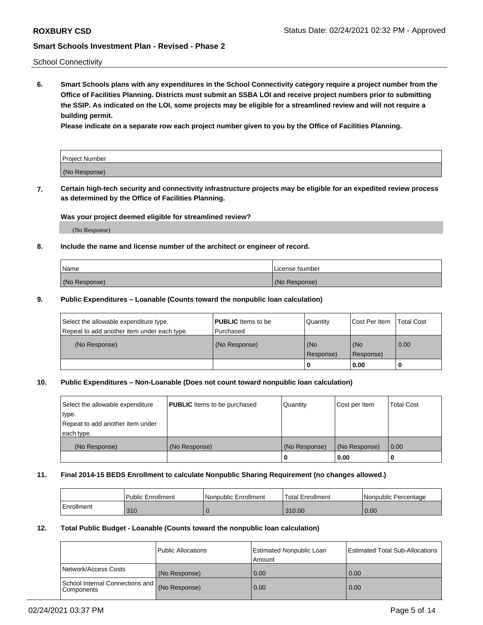School Connectivity

**6. Smart Schools plans with any expenditures in the School Connectivity category require a project number from the Office of Facilities Planning. Districts must submit an SSBA LOI and receive project numbers prior to submitting the SSIP. As indicated on the LOI, some projects may be eligible for a streamlined review and will not require a building permit.**

**Please indicate on a separate row each project number given to you by the Office of Facilities Planning.**

| Project Number |  |
|----------------|--|
| (No Response)  |  |

**7. Certain high-tech security and connectivity infrastructure projects may be eligible for an expedited review process as determined by the Office of Facilities Planning.**

## **Was your project deemed eligible for streamlined review?**

(No Response)

## **8. Include the name and license number of the architect or engineer of record.**

| Name          | License Number |
|---------------|----------------|
| (No Response) | (No Response)  |

### **9. Public Expenditures – Loanable (Counts toward the nonpublic loan calculation)**

| Select the allowable expenditure type.<br>Repeat to add another item under each type. | <b>PUBLIC</b> Items to be<br>l Purchased | Quantity           | Cost Per Item    | <b>Total Cost</b> |
|---------------------------------------------------------------------------------------|------------------------------------------|--------------------|------------------|-------------------|
| (No Response)                                                                         | (No Response)                            | l (No<br>Response) | (No<br>Response) | $\overline{0.00}$ |
|                                                                                       |                                          | O                  | 0.00             |                   |

## **10. Public Expenditures – Non-Loanable (Does not count toward nonpublic loan calculation)**

| Select the allowable expenditure<br>type.<br>Repeat to add another item under<br>each type. | <b>PUBLIC</b> Items to be purchased | Quantity      | Cost per Item | <b>Total Cost</b> |
|---------------------------------------------------------------------------------------------|-------------------------------------|---------------|---------------|-------------------|
| (No Response)                                                                               | (No Response)                       | (No Response) | (No Response) | 0.00              |
|                                                                                             |                                     |               | 0.00          |                   |

#### **11. Final 2014-15 BEDS Enrollment to calculate Nonpublic Sharing Requirement (no changes allowed.)**

|            | Public Enrollment | Nonpublic Enrollment | 'Total Enrollment | l Nonpublic Percentage |
|------------|-------------------|----------------------|-------------------|------------------------|
| Enrollment | 310               |                      | 310.00            | 0.00                   |

### **12. Total Public Budget - Loanable (Counts toward the nonpublic loan calculation)**

|                                                      | Public Allocations | <b>Estimated Nonpublic Loan</b><br>Amount | Estimated Total Sub-Allocations |
|------------------------------------------------------|--------------------|-------------------------------------------|---------------------------------|
| Network/Access Costs                                 | (No Response)      | 0.00                                      | 0.00                            |
| School Internal Connections and<br><b>Components</b> | (No Response)      | 0.00                                      | 0.00                            |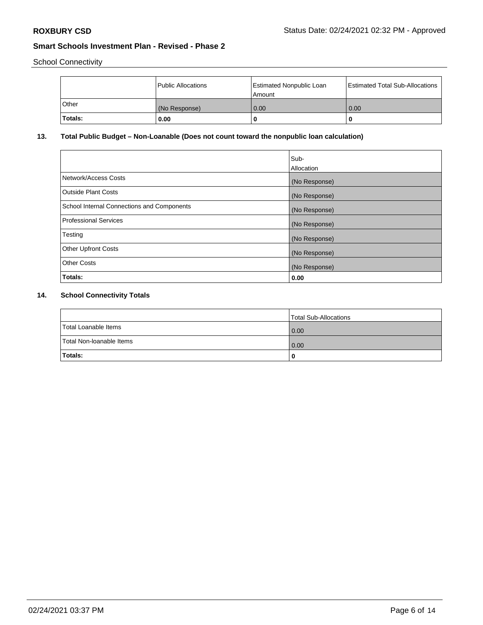School Connectivity

|          | Public Allocations | Estimated Nonpublic Loan<br>l Amount i | Estimated Total Sub-Allocations |
|----------|--------------------|----------------------------------------|---------------------------------|
| l Other  | (No Response)      | 0.00                                   | 0.00                            |
| 'Totals: | 0.00               | 0                                      | 0                               |

## **13. Total Public Budget – Non-Loanable (Does not count toward the nonpublic loan calculation)**

|                                                   | Sub-<br>Allocation |
|---------------------------------------------------|--------------------|
| Network/Access Costs                              | (No Response)      |
| Outside Plant Costs                               | (No Response)      |
| <b>School Internal Connections and Components</b> | (No Response)      |
| Professional Services                             | (No Response)      |
| Testing                                           | (No Response)      |
| <b>Other Upfront Costs</b>                        | (No Response)      |
| <b>Other Costs</b>                                | (No Response)      |
| Totals:                                           | 0.00               |

# **14. School Connectivity Totals**

|                          | Total Sub-Allocations |
|--------------------------|-----------------------|
| Total Loanable Items     | 0.00                  |
| Total Non-Ioanable Items | 0.00                  |
| Totals:                  | 0                     |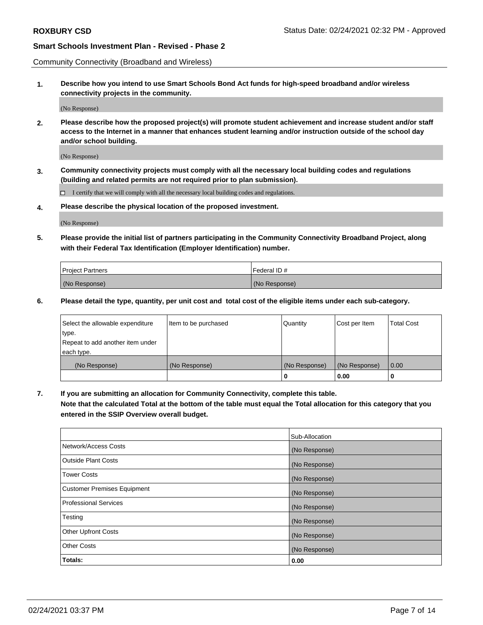Community Connectivity (Broadband and Wireless)

**1. Describe how you intend to use Smart Schools Bond Act funds for high-speed broadband and/or wireless connectivity projects in the community.**

(No Response)

**2. Please describe how the proposed project(s) will promote student achievement and increase student and/or staff access to the Internet in a manner that enhances student learning and/or instruction outside of the school day and/or school building.**

(No Response)

**3. Community connectivity projects must comply with all the necessary local building codes and regulations (building and related permits are not required prior to plan submission).**

 $\Box$  I certify that we will comply with all the necessary local building codes and regulations.

**4. Please describe the physical location of the proposed investment.**

(No Response)

**5. Please provide the initial list of partners participating in the Community Connectivity Broadband Project, along with their Federal Tax Identification (Employer Identification) number.**

| <b>Project Partners</b> | l Federal ID # |
|-------------------------|----------------|
| (No Response)           | (No Response)  |

**6. Please detail the type, quantity, per unit cost and total cost of the eligible items under each sub-category.**

| Select the allowable expenditure | Item to be purchased | Quantity      | Cost per Item | <b>Total Cost</b> |
|----------------------------------|----------------------|---------------|---------------|-------------------|
| type.                            |                      |               |               |                   |
| Repeat to add another item under |                      |               |               |                   |
| each type.                       |                      |               |               |                   |
| (No Response)                    | (No Response)        | (No Response) | (No Response) | 0.00              |
|                                  |                      | o             | 0.00          |                   |

**7. If you are submitting an allocation for Community Connectivity, complete this table.**

**Note that the calculated Total at the bottom of the table must equal the Total allocation for this category that you entered in the SSIP Overview overall budget.**

|                                    | Sub-Allocation |
|------------------------------------|----------------|
| Network/Access Costs               | (No Response)  |
| Outside Plant Costs                | (No Response)  |
| <b>Tower Costs</b>                 | (No Response)  |
| <b>Customer Premises Equipment</b> | (No Response)  |
| <b>Professional Services</b>       | (No Response)  |
| Testing                            | (No Response)  |
| <b>Other Upfront Costs</b>         | (No Response)  |
| <b>Other Costs</b>                 | (No Response)  |
| Totals:                            | 0.00           |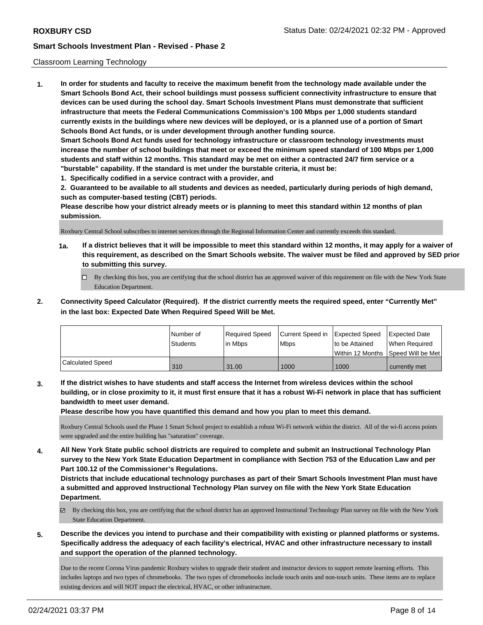## Classroom Learning Technology

**1. In order for students and faculty to receive the maximum benefit from the technology made available under the Smart Schools Bond Act, their school buildings must possess sufficient connectivity infrastructure to ensure that devices can be used during the school day. Smart Schools Investment Plans must demonstrate that sufficient infrastructure that meets the Federal Communications Commission's 100 Mbps per 1,000 students standard currently exists in the buildings where new devices will be deployed, or is a planned use of a portion of Smart Schools Bond Act funds, or is under development through another funding source. Smart Schools Bond Act funds used for technology infrastructure or classroom technology investments must increase the number of school buildings that meet or exceed the minimum speed standard of 100 Mbps per 1,000 students and staff within 12 months. This standard may be met on either a contracted 24/7 firm service or a "burstable" capability. If the standard is met under the burstable criteria, it must be:**

**1. Specifically codified in a service contract with a provider, and**

**2. Guaranteed to be available to all students and devices as needed, particularly during periods of high demand, such as computer-based testing (CBT) periods.**

**Please describe how your district already meets or is planning to meet this standard within 12 months of plan submission.**

Roxbury Central School subscribes to internet services through the Regional Information Center and currently exceeds this standard.

- **1a. If a district believes that it will be impossible to meet this standard within 12 months, it may apply for a waiver of this requirement, as described on the Smart Schools website. The waiver must be filed and approved by SED prior to submitting this survey.**
	- By checking this box, you are certifying that the school district has an approved waiver of this requirement on file with the New York State Education Department.
- **2. Connectivity Speed Calculator (Required). If the district currently meets the required speed, enter "Currently Met" in the last box: Expected Date When Required Speed Will be Met.**

|                  | INumber of      | Required Speed | Current Speed in Expected Speed |                | <b>Expected Date</b>                 |
|------------------|-----------------|----------------|---------------------------------|----------------|--------------------------------------|
|                  | <b>Students</b> | l in Mbps      | <b>Mbps</b>                     | to be Attained | When Required                        |
|                  |                 |                |                                 |                | Within 12 Months 1Speed Will be Met1 |
| Calculated Speed | 310             | 31.00          | 1000                            | 1000           | currently met                        |

**3. If the district wishes to have students and staff access the Internet from wireless devices within the school building, or in close proximity to it, it must first ensure that it has a robust Wi-Fi network in place that has sufficient bandwidth to meet user demand.**

**Please describe how you have quantified this demand and how you plan to meet this demand.**

Roxbury Central Schools used the Phase 1 Smart School project to establish a robust Wi-Fi network within the district. All of the wi-fi access points were upgraded and the entire building has "saturation" coverage.

**4. All New York State public school districts are required to complete and submit an Instructional Technology Plan survey to the New York State Education Department in compliance with Section 753 of the Education Law and per Part 100.12 of the Commissioner's Regulations.**

**Districts that include educational technology purchases as part of their Smart Schools Investment Plan must have a submitted and approved Instructional Technology Plan survey on file with the New York State Education Department.**

- $\boxtimes$  By checking this box, you are certifying that the school district has an approved Instructional Technology Plan survey on file with the New York State Education Department.
- **5. Describe the devices you intend to purchase and their compatibility with existing or planned platforms or systems. Specifically address the adequacy of each facility's electrical, HVAC and other infrastructure necessary to install and support the operation of the planned technology.**

Due to the recent Corona Virus pandemic Roxbury wishes to upgrade their student and instructor devices to support remote learning efforts. This includes laptops and two types of chromebooks. The two types of chromebooks include touch units and non-touch units. These items are to replace existing devices and will NOT impact the electrical, HVAC, or other infrastructure.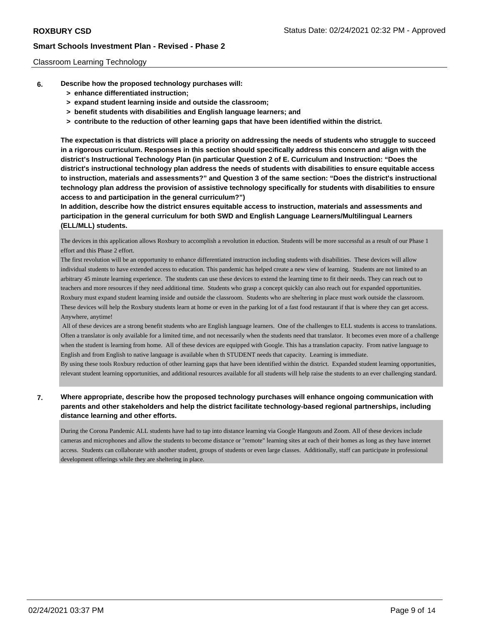### Classroom Learning Technology

- **6. Describe how the proposed technology purchases will:**
	- **> enhance differentiated instruction;**
	- **> expand student learning inside and outside the classroom;**
	- **> benefit students with disabilities and English language learners; and**
	- **> contribute to the reduction of other learning gaps that have been identified within the district.**

**The expectation is that districts will place a priority on addressing the needs of students who struggle to succeed in a rigorous curriculum. Responses in this section should specifically address this concern and align with the district's Instructional Technology Plan (in particular Question 2 of E. Curriculum and Instruction: "Does the district's instructional technology plan address the needs of students with disabilities to ensure equitable access to instruction, materials and assessments?" and Question 3 of the same section: "Does the district's instructional technology plan address the provision of assistive technology specifically for students with disabilities to ensure access to and participation in the general curriculum?")**

**In addition, describe how the district ensures equitable access to instruction, materials and assessments and participation in the general curriculum for both SWD and English Language Learners/Multilingual Learners (ELL/MLL) students.**

The devices in this application allows Roxbury to accomplish a revolution in eduction. Students will be more successful as a result of our Phase 1 effort and this Phase 2 effort.

The first revolution will be an opportunity to enhance differentiated instruction including students with disabilities. These devices will allow individual students to have extended access to education. This pandemic has helped create a new view of learning. Students are not limited to an arbitrary 45 minute learning experience. The students can use these devices to extend the learning time to fit their needs. They can reach out to teachers and more resources if they need additional time. Students who grasp a concept quickly can also reach out for expanded opportunities. Roxbury must expand student learning inside and outside the classroom. Students who are sheltering in place must work outside the classroom. These devices will help the Roxbury students learn at home or even in the parking lot of a fast food restaurant if that is where they can get access. Anywhere, anytime!

 All of these devices are a strong benefit students who are English language learners. One of the challenges to ELL students is access to translations. Often a translator is only available for a limited time, and not necessarily when the students need that translator. It becomes even more of a challenge when the student is learning from home. All of these devices are equipped with Google. This has a translation capacity. From native language to English and from English to native language is available when th STUDENT needs that capacity. Learning is immediate.

By using these tools Roxbury reduction of other learning gaps that have been identified within the district. Expanded student learning opportunities, relevant student learning opportunities, and additional resources available for all students will help raise the students to an ever challenging standard.

## **7. Where appropriate, describe how the proposed technology purchases will enhance ongoing communication with parents and other stakeholders and help the district facilitate technology-based regional partnerships, including distance learning and other efforts.**

During the Corona Pandemic ALL students have had to tap into distance learning via Google Hangouts and Zoom. All of these devices include cameras and microphones and allow the students to become distance or "remote" learning sites at each of their homes as long as they have internet access. Students can collaborate with another student, groups of students or even large classes. Additionally, staff can participate in professional development offerings while they are sheltering in place.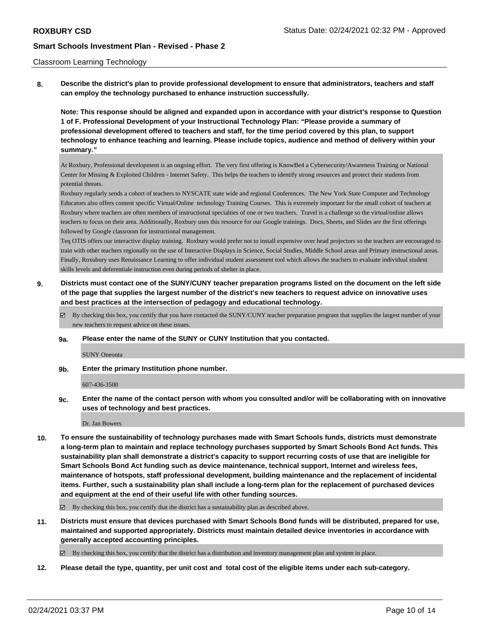### Classroom Learning Technology

**8. Describe the district's plan to provide professional development to ensure that administrators, teachers and staff can employ the technology purchased to enhance instruction successfully.**

**Note: This response should be aligned and expanded upon in accordance with your district's response to Question 1 of F. Professional Development of your Instructional Technology Plan: "Please provide a summary of professional development offered to teachers and staff, for the time period covered by this plan, to support technology to enhance teaching and learning. Please include topics, audience and method of delivery within your summary."**

At Roxbury, Professional development is an ongoing effort. The very first offering is KnowBe4 a Cybersecurity/Awareness Training or National Center for Missing & Exploited Children - Internet Safety. This helps the teachers to identify strong resources and protect their students from potential threats.

Roxbury regularly sends a cohort of teachers to NYSCATE state wide and regional Conferences. The New York State Computer and Technology Educators also offers content specific Virtual/Online technology Training Courses. This is extremely important for the small cohort of teachers at Roxbury where teachers are often members of instructional specialties of one or two teachers. Travel is a challenge so the virtual/online allows teachers to focus on their area. Additionally, Roxbury uses this resource for our Google trainings. Docs, Sheets, and Slides are the first offerings followed by Google classroom for instructional management.

Teq OTIS offers our interactive display training. Roxbury would prefer not to install expensive over head projectors so the teachers are encouraged to train with other teachers regionally on the use of Interactive Displays in Science, Social Studies, Middle School areas and Primary instructional areas. Finally, Roxubury uses Renaissance Learning to offer individual student assessment tool which allows the teachers to evaluate individual student skills levels and deferentiale instruction even during periods of shelter in place.

- **9. Districts must contact one of the SUNY/CUNY teacher preparation programs listed on the document on the left side of the page that supplies the largest number of the district's new teachers to request advice on innovative uses and best practices at the intersection of pedagogy and educational technology.**
	- By checking this box, you certify that you have contacted the SUNY/CUNY teacher preparation program that supplies the largest number of your new teachers to request advice on these issues.
	- **9a. Please enter the name of the SUNY or CUNY Institution that you contacted.**

SUNY Oneonta

**9b. Enter the primary Institution phone number.**

607-436-3500

**9c. Enter the name of the contact person with whom you consulted and/or will be collaborating with on innovative uses of technology and best practices.**

Dr. Jan Bowers

**10. To ensure the sustainability of technology purchases made with Smart Schools funds, districts must demonstrate a long-term plan to maintain and replace technology purchases supported by Smart Schools Bond Act funds. This sustainability plan shall demonstrate a district's capacity to support recurring costs of use that are ineligible for Smart Schools Bond Act funding such as device maintenance, technical support, Internet and wireless fees, maintenance of hotspots, staff professional development, building maintenance and the replacement of incidental items. Further, such a sustainability plan shall include a long-term plan for the replacement of purchased devices and equipment at the end of their useful life with other funding sources.**

 $\boxtimes$  By checking this box, you certify that the district has a sustainability plan as described above.

**11. Districts must ensure that devices purchased with Smart Schools Bond funds will be distributed, prepared for use, maintained and supported appropriately. Districts must maintain detailed device inventories in accordance with generally accepted accounting principles.**

By checking this box, you certify that the district has a distribution and inventory management plan and system in place.

**12. Please detail the type, quantity, per unit cost and total cost of the eligible items under each sub-category.**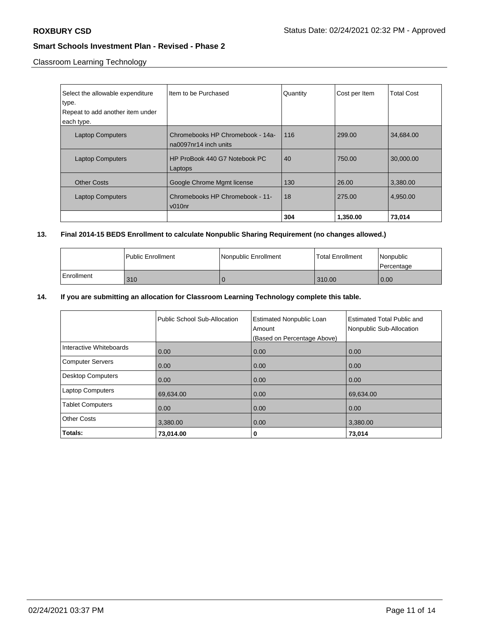Classroom Learning Technology

| Select the allowable expenditure<br>type. | Item to be Purchased                                      | Quantity | Cost per Item | <b>Total Cost</b> |
|-------------------------------------------|-----------------------------------------------------------|----------|---------------|-------------------|
| Repeat to add another item under          |                                                           |          |               |                   |
| each type.                                |                                                           |          |               |                   |
| <b>Laptop Computers</b>                   | Chromebooks HP Chromebook - 14a-<br>na0097nr14 inch units | 116      | 299.00        | 34,684.00         |
| <b>Laptop Computers</b>                   | HP ProBook 440 G7 Notebook PC<br>Laptops                  | 40       | 750.00        | 30,000,00         |
| <b>Other Costs</b>                        | Google Chrome Mgmt license                                | 130      | 26.00         | 3,380.00          |
| <b>Laptop Computers</b>                   | Chromebooks HP Chromebook - 11-<br>$v010n$ r              | 18       | 275.00        | 4,950.00          |
|                                           |                                                           | 304      | 1,350.00      | 73,014            |

# **13. Final 2014-15 BEDS Enrollment to calculate Nonpublic Sharing Requirement (no changes allowed.)**

|            | l Public Enrollment | Nonpublic Enrollment | <b>Total Enrollment</b> | l Nonpublic<br>l Percentage |
|------------|---------------------|----------------------|-------------------------|-----------------------------|
| Enrollment | 310                 |                      | 310.00                  | 0.00                        |

## **14. If you are submitting an allocation for Classroom Learning Technology complete this table.**

|                          | Public School Sub-Allocation | <b>Estimated Nonpublic Loan</b><br>Amount<br>(Based on Percentage Above) | <b>Estimated Total Public and</b><br>Nonpublic Sub-Allocation |
|--------------------------|------------------------------|--------------------------------------------------------------------------|---------------------------------------------------------------|
| Interactive Whiteboards  | 0.00                         | 0.00                                                                     | 0.00                                                          |
| <b>Computer Servers</b>  | 0.00                         | 0.00                                                                     | 0.00                                                          |
| <b>Desktop Computers</b> | 0.00                         | 0.00                                                                     | 0.00                                                          |
| <b>Laptop Computers</b>  | 69,634.00                    | 0.00                                                                     | 69,634.00                                                     |
| <b>Tablet Computers</b>  | 0.00                         | 0.00                                                                     | 0.00                                                          |
| <b>Other Costs</b>       | 3,380.00                     | 0.00                                                                     | 3,380.00                                                      |
| Totals:                  | 73,014.00                    | 0                                                                        | 73,014                                                        |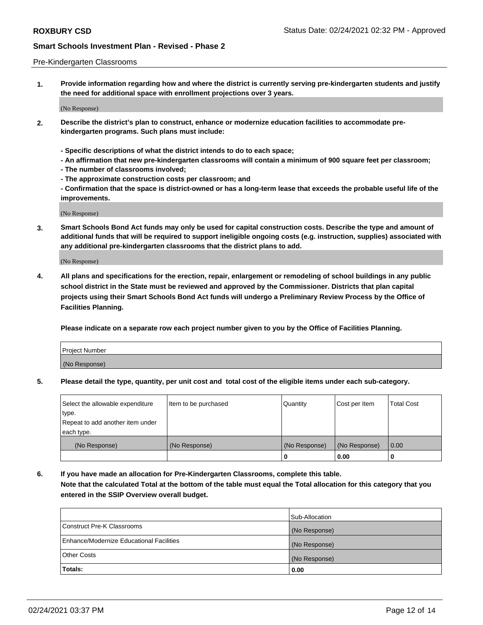### Pre-Kindergarten Classrooms

**1. Provide information regarding how and where the district is currently serving pre-kindergarten students and justify the need for additional space with enrollment projections over 3 years.**

(No Response)

- **2. Describe the district's plan to construct, enhance or modernize education facilities to accommodate prekindergarten programs. Such plans must include:**
	- **Specific descriptions of what the district intends to do to each space;**
	- **An affirmation that new pre-kindergarten classrooms will contain a minimum of 900 square feet per classroom;**
	- **The number of classrooms involved;**
	- **The approximate construction costs per classroom; and**
	- **Confirmation that the space is district-owned or has a long-term lease that exceeds the probable useful life of the improvements.**

(No Response)

**3. Smart Schools Bond Act funds may only be used for capital construction costs. Describe the type and amount of additional funds that will be required to support ineligible ongoing costs (e.g. instruction, supplies) associated with any additional pre-kindergarten classrooms that the district plans to add.**

(No Response)

**4. All plans and specifications for the erection, repair, enlargement or remodeling of school buildings in any public school district in the State must be reviewed and approved by the Commissioner. Districts that plan capital projects using their Smart Schools Bond Act funds will undergo a Preliminary Review Process by the Office of Facilities Planning.**

**Please indicate on a separate row each project number given to you by the Office of Facilities Planning.**

| Project Number |  |
|----------------|--|
| (No Response)  |  |
|                |  |

**5. Please detail the type, quantity, per unit cost and total cost of the eligible items under each sub-category.**

| Select the allowable expenditure | Item to be purchased | Quantity      | Cost per Item | <b>Total Cost</b> |
|----------------------------------|----------------------|---------------|---------------|-------------------|
| type.                            |                      |               |               |                   |
| Repeat to add another item under |                      |               |               |                   |
| each type.                       |                      |               |               |                   |
| (No Response)                    | (No Response)        | (No Response) | (No Response) | 0.00              |
|                                  |                      | U             | 0.00          |                   |

**6. If you have made an allocation for Pre-Kindergarten Classrooms, complete this table. Note that the calculated Total at the bottom of the table must equal the Total allocation for this category that you entered in the SSIP Overview overall budget.**

|                                          | Sub-Allocation |
|------------------------------------------|----------------|
| Construct Pre-K Classrooms               | (No Response)  |
| Enhance/Modernize Educational Facilities | (No Response)  |
| <b>Other Costs</b>                       | (No Response)  |
| Totals:                                  | 0.00           |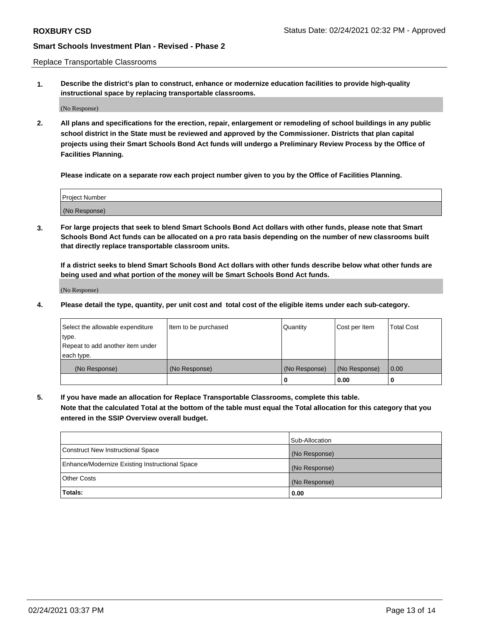Replace Transportable Classrooms

**1. Describe the district's plan to construct, enhance or modernize education facilities to provide high-quality instructional space by replacing transportable classrooms.**

(No Response)

**2. All plans and specifications for the erection, repair, enlargement or remodeling of school buildings in any public school district in the State must be reviewed and approved by the Commissioner. Districts that plan capital projects using their Smart Schools Bond Act funds will undergo a Preliminary Review Process by the Office of Facilities Planning.**

**Please indicate on a separate row each project number given to you by the Office of Facilities Planning.**

| Project Number |  |
|----------------|--|
|                |  |
|                |  |
|                |  |
|                |  |
| (No Response)  |  |
|                |  |
|                |  |
|                |  |

**3. For large projects that seek to blend Smart Schools Bond Act dollars with other funds, please note that Smart Schools Bond Act funds can be allocated on a pro rata basis depending on the number of new classrooms built that directly replace transportable classroom units.**

**If a district seeks to blend Smart Schools Bond Act dollars with other funds describe below what other funds are being used and what portion of the money will be Smart Schools Bond Act funds.**

(No Response)

**4. Please detail the type, quantity, per unit cost and total cost of the eligible items under each sub-category.**

| Select the allowable expenditure           | Item to be purchased | Quantity      | Cost per Item | <b>Total Cost</b> |
|--------------------------------------------|----------------------|---------------|---------------|-------------------|
| ∣type.<br>Repeat to add another item under |                      |               |               |                   |
| each type.                                 |                      |               |               |                   |
| (No Response)                              | (No Response)        | (No Response) | (No Response) | 0.00              |
|                                            |                      | 0             | 0.00          |                   |

**5. If you have made an allocation for Replace Transportable Classrooms, complete this table. Note that the calculated Total at the bottom of the table must equal the Total allocation for this category that you entered in the SSIP Overview overall budget.**

|                                                | Sub-Allocation |
|------------------------------------------------|----------------|
| Construct New Instructional Space              | (No Response)  |
| Enhance/Modernize Existing Instructional Space | (No Response)  |
| <b>Other Costs</b>                             | (No Response)  |
| Totals:                                        | 0.00           |